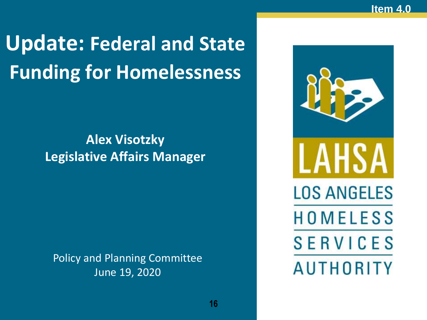# **Update: Federal and State Funding for Homelessness**

### **Alex Visotzky Legislative Affairs Manager**

Policy and Planning Committee June 19, 2020

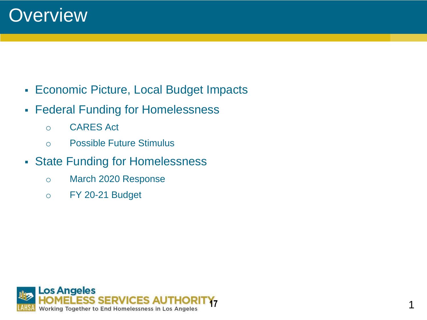

- Economic Picture, Local Budget Impacts
- **Federal Funding for Homelessness** 
	- o CARES Act
	- o Possible Future Stimulus
- State Funding for Homelessness
	- o March 2020 Response
	- o FY 20-21 Budget

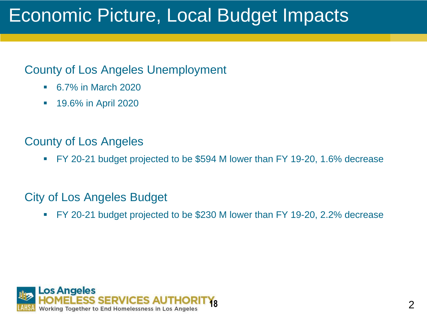# Economic Picture, Local Budget Impacts

#### County of Los Angeles Unemployment

- 6.7% in March 2020
- **19.6% in April 2020**

#### County of Los Angeles

▪ FY 20-21 budget projected to be \$594 M lower than FY 19-20, 1.6% decrease

#### City of Los Angeles Budget

▪ FY 20-21 budget projected to be \$230 M lower than FY 19-20, 2.2% decrease

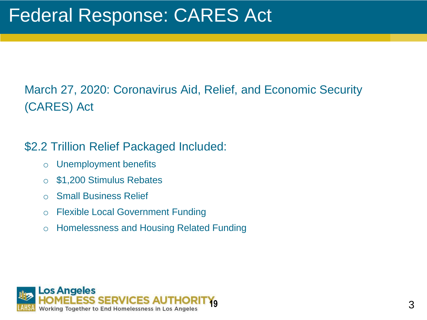### March 27, 2020: Coronavirus Aid, Relief, and Economic Security (CARES) Act

#### \$2.2 Trillion Relief Packaged Included:

- o Unemployment benefits
- o \$1,200 Stimulus Rebates
- o Small Business Relief
- o Flexible Local Government Funding
- o Homelessness and Housing Related Funding

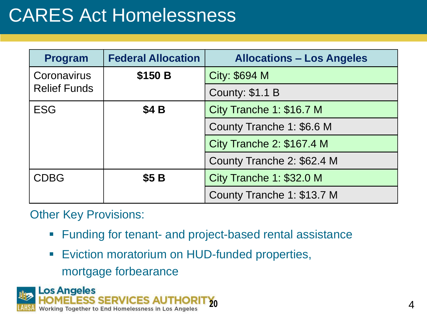# CARES Act Homelessness

| <b>Program</b>                     | <b>Federal Allocation</b> | <b>Allocations – Los Angeles</b> |
|------------------------------------|---------------------------|----------------------------------|
| Coronavirus<br><b>Relief Funds</b> | \$150 B                   | <b>City: \$694 M</b>             |
|                                    |                           | <b>County: \$1.1 B</b>           |
| <b>ESG</b>                         | <b>\$4 B</b>              | City Tranche 1: \$16.7 M         |
|                                    |                           | County Tranche 1: \$6.6 M        |
|                                    |                           | City Tranche 2: \$167.4 M        |
|                                    |                           | County Tranche 2: \$62.4 M       |
| <b>CDBG</b>                        | \$5B                      | City Tranche 1: \$32.0 M         |
|                                    |                           | County Tranche 1: \$13.7 M       |

#### Other Key Provisions:

- Funding for tenant- and project-based rental assistance
- Eviction moratorium on HUD-funded properties, mortgage forbearance

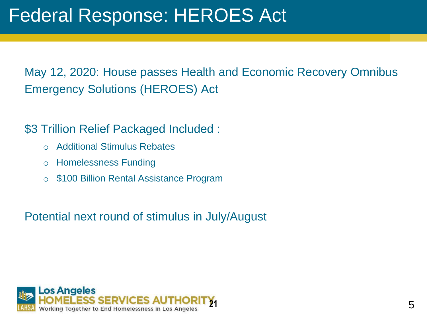May 12, 2020: House passes Health and Economic Recovery Omnibus Emergency Solutions (HEROES) Act

\$3 Trillion Relief Packaged Included :

- o Additional Stimulus Rebates
- o Homelessness Funding
- o \$100 Billion Rental Assistance Program

Potential next round of stimulus in July/August

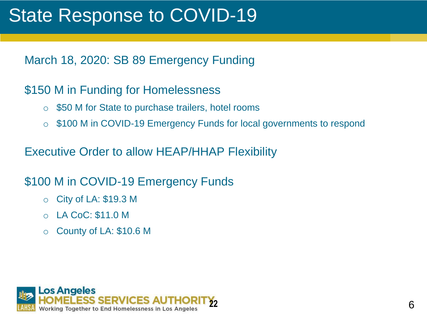### State Response to COVID-19

March 18, 2020: SB 89 Emergency Funding

#### \$150 M in Funding for Homelessness

- o \$50 M for State to purchase trailers, hotel rooms
- o \$100 M in COVID-19 Emergency Funds for local governments to respond

Executive Order to allow HEAP/HHAP Flexibility

#### \$100 M in COVID-19 Emergency Funds

- o City of LA: \$19.3 M
- o LA CoC: \$11.0 M
- o County of LA: \$10.6 M

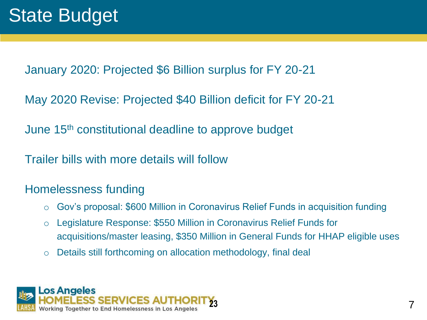January 2020: Projected \$6 Billion surplus for FY 20-21

May 2020 Revise: Projected \$40 Billion deficit for FY 20-21

June 15th constitutional deadline to approve budget

Trailer bills with more details will follow

#### Homelessness funding

- o Gov's proposal: \$600 Million in Coronavirus Relief Funds in acquisition funding
- o Legislature Response: \$550 Million in Coronavirus Relief Funds for acquisitions/master leasing, \$350 Million in General Funds for HHAP eligible uses
- o Details still forthcoming on allocation methodology, final deal